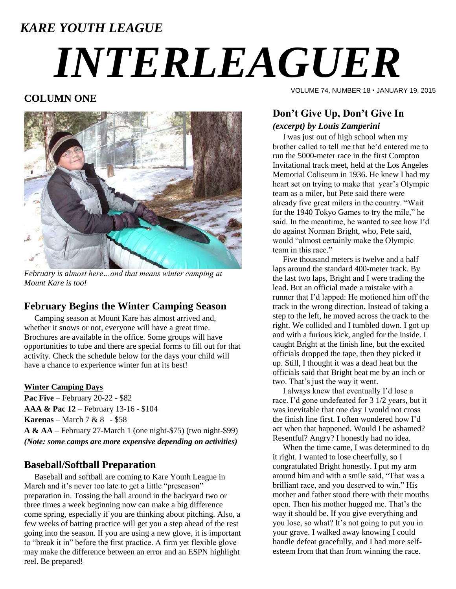# *KARE YOUTH LEAGUE INTERLEAGUER*

#### **COLUMN ONE**



*February is almost here…and that means winter camping at Mount Kare is too!*

#### **February Begins the Winter Camping Season**

 Camping season at Mount Kare has almost arrived and, whether it snows or not, everyone will have a great time. Brochures are available in the office. Some groups will have opportunities to tube and there are special forms to fill out for that activity. Check the schedule below for the days your child will have a chance to experience winter fun at its best!

#### **Winter Camping Days**

**Pac Five** – February 20-22 - \$82 **AAA & Pac 12** – February 13-16 - \$104 **Karenas** – March 7 & 8 - \$58 **A & AA** – February 27-March 1 (one night-\$75) (two night-\$99) *(Note: some camps are more expensive depending on activities)*

#### **Baseball/Softball Preparation**

 Baseball and softball are coming to Kare Youth League in March and it's never too late to get a little "preseason" preparation in. Tossing the ball around in the backyard two or three times a week beginning now can make a big difference come spring, especially if you are thinking about pitching. Also, a few weeks of batting practice will get you a step ahead of the rest going into the season. If you are using a new glove, it is important to "break it in" before the first practice. A firm yet flexible glove may make the difference between an error and an ESPN highlight reel. Be prepared!

VOLUME 74, NUMBER 18 • JANUARY 19, 2015

### **Don't Give Up, Don't Give In** *(excerpt) by Louis Zamperini*

 I was just out of high school when my brother called to tell me that he'd entered me to run the 5000-meter race in the first Compton Invitational track meet, held at the Los Angeles Memorial Coliseum in 1936. He knew I had my heart set on trying to make that year's Olympic team as a miler, but Pete said there were already five great milers in the country. "Wait for the 1940 Tokyo Games to try the mile," he said. In the meantime, he wanted to see how I'd do against Norman Bright, who, Pete said, would "almost certainly make the Olympic team in this race."

 Five thousand meters is twelve and a half laps around the standard 400-meter track. By the last two laps, Bright and I were trading the lead. But an official made a mistake with a runner that I'd lapped: He motioned him off the track in the wrong direction. Instead of taking a step to the left, he moved across the track to the right. We collided and I tumbled down. I got up and with a furious kick, angled for the inside. I caught Bright at the finish line, but the excited officials dropped the tape, then they picked it up. Still, I thought it was a dead heat but the officials said that Bright beat me by an inch or two. That's just the way it went.

 I always knew that eventually I'd lose a race. I'd gone undefeated for 3 1/2 years, but it was inevitable that one day I would not cross the finish line first. I often wondered how I'd act when that happened. Would I be ashamed? Resentful? Angry? I honestly had no idea.

 When the time came, I was determined to do it right. I wanted to lose cheerfully, so I congratulated Bright honestly. I put my arm around him and with a smile said, "That was a brilliant race, and you deserved to win." His mother and father stood there with their mouths open. Then his mother hugged me. That's the way it should be. If you give everything and you lose, so what? It's not going to put you in your grave. I walked away knowing I could handle defeat gracefully, and I had more selfesteem from that than from winning the race.